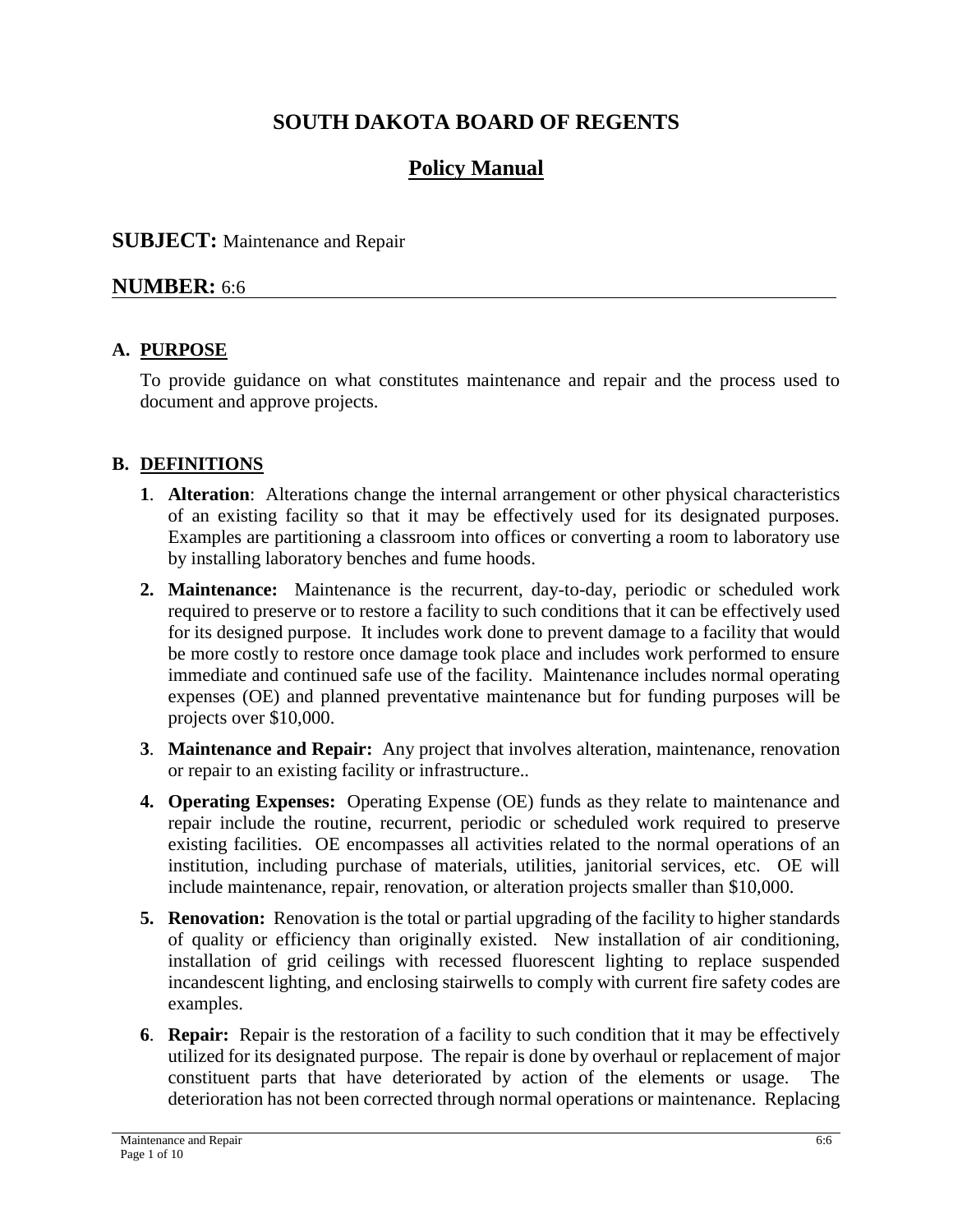# **SOUTH DAKOTA BOARD OF REGENTS**

# **Policy Manual**

# **SUBJECT:** Maintenance and Repair

# **NUMBER:** 6:6

# **A. PURPOSE**

To provide guidance on what constitutes maintenance and repair and the process used to document and approve projects.

# **B. DEFINITIONS**

- **1**. **Alteration**: Alterations change the internal arrangement or other physical characteristics of an existing facility so that it may be effectively used for its designated purposes. Examples are partitioning a classroom into offices or converting a room to laboratory use by installing laboratory benches and fume hoods.
- **2. Maintenance:** Maintenance is the recurrent, day-to-day, periodic or scheduled work required to preserve or to restore a facility to such conditions that it can be effectively used for its designed purpose. It includes work done to prevent damage to a facility that would be more costly to restore once damage took place and includes work performed to ensure immediate and continued safe use of the facility. Maintenance includes normal operating expenses (OE) and planned preventative maintenance but for funding purposes will be projects over \$10,000.
- **3**. **Maintenance and Repair:** Any project that involves alteration, maintenance, renovation or repair to an existing facility or infrastructure..
- **4. Operating Expenses:** Operating Expense (OE) funds as they relate to maintenance and repair include the routine, recurrent, periodic or scheduled work required to preserve existing facilities. OE encompasses all activities related to the normal operations of an institution, including purchase of materials, utilities, janitorial services, etc. OE will include maintenance, repair, renovation, or alteration projects smaller than \$10,000.
- **5. Renovation:** Renovation is the total or partial upgrading of the facility to higher standards of quality or efficiency than originally existed. New installation of air conditioning, installation of grid ceilings with recessed fluorescent lighting to replace suspended incandescent lighting, and enclosing stairwells to comply with current fire safety codes are examples.
- **6**. **Repair:** Repair is the restoration of a facility to such condition that it may be effectively utilized for its designated purpose. The repair is done by overhaul or replacement of major constituent parts that have deteriorated by action of the elements or usage. The deterioration has not been corrected through normal operations or maintenance. Replacing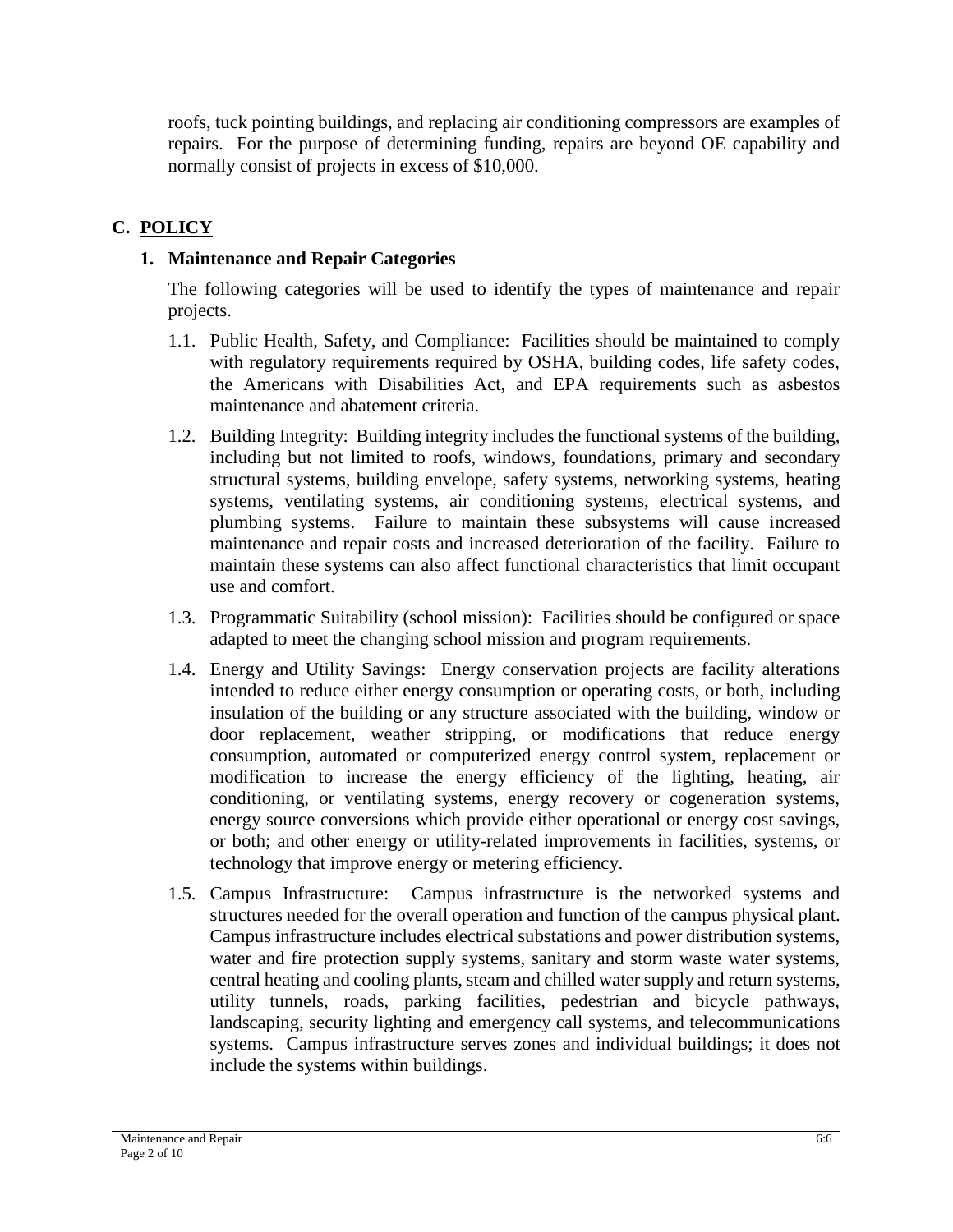roofs, tuck pointing buildings, and replacing air conditioning compressors are examples of repairs. For the purpose of determining funding, repairs are beyond OE capability and normally consist of projects in excess of \$10,000.

# **C. POLICY**

# **1. Maintenance and Repair Categories**

The following categories will be used to identify the types of maintenance and repair projects.

- 1.1. Public Health, Safety, and Compliance: Facilities should be maintained to comply with regulatory requirements required by OSHA, building codes, life safety codes, the Americans with Disabilities Act, and EPA requirements such as asbestos maintenance and abatement criteria.
- 1.2. Building Integrity: Building integrity includes the functional systems of the building, including but not limited to roofs, windows, foundations, primary and secondary structural systems, building envelope, safety systems, networking systems, heating systems, ventilating systems, air conditioning systems, electrical systems, and plumbing systems. Failure to maintain these subsystems will cause increased maintenance and repair costs and increased deterioration of the facility. Failure to maintain these systems can also affect functional characteristics that limit occupant use and comfort.
- 1.3. Programmatic Suitability (school mission): Facilities should be configured or space adapted to meet the changing school mission and program requirements.
- 1.4. Energy and Utility Savings: Energy conservation projects are facility alterations intended to reduce either energy consumption or operating costs, or both, including insulation of the building or any structure associated with the building, window or door replacement, weather stripping, or modifications that reduce energy consumption, automated or computerized energy control system, replacement or modification to increase the energy efficiency of the lighting, heating, air conditioning, or ventilating systems, energy recovery or cogeneration systems, energy source conversions which provide either operational or energy cost savings, or both; and other energy or utility-related improvements in facilities, systems, or technology that improve energy or metering efficiency.
- 1.5. Campus Infrastructure: Campus infrastructure is the networked systems and structures needed for the overall operation and function of the campus physical plant. Campus infrastructure includes electrical substations and power distribution systems, water and fire protection supply systems, sanitary and storm waste water systems, central heating and cooling plants, steam and chilled water supply and return systems, utility tunnels, roads, parking facilities, pedestrian and bicycle pathways, landscaping, security lighting and emergency call systems, and telecommunications systems. Campus infrastructure serves zones and individual buildings; it does not include the systems within buildings.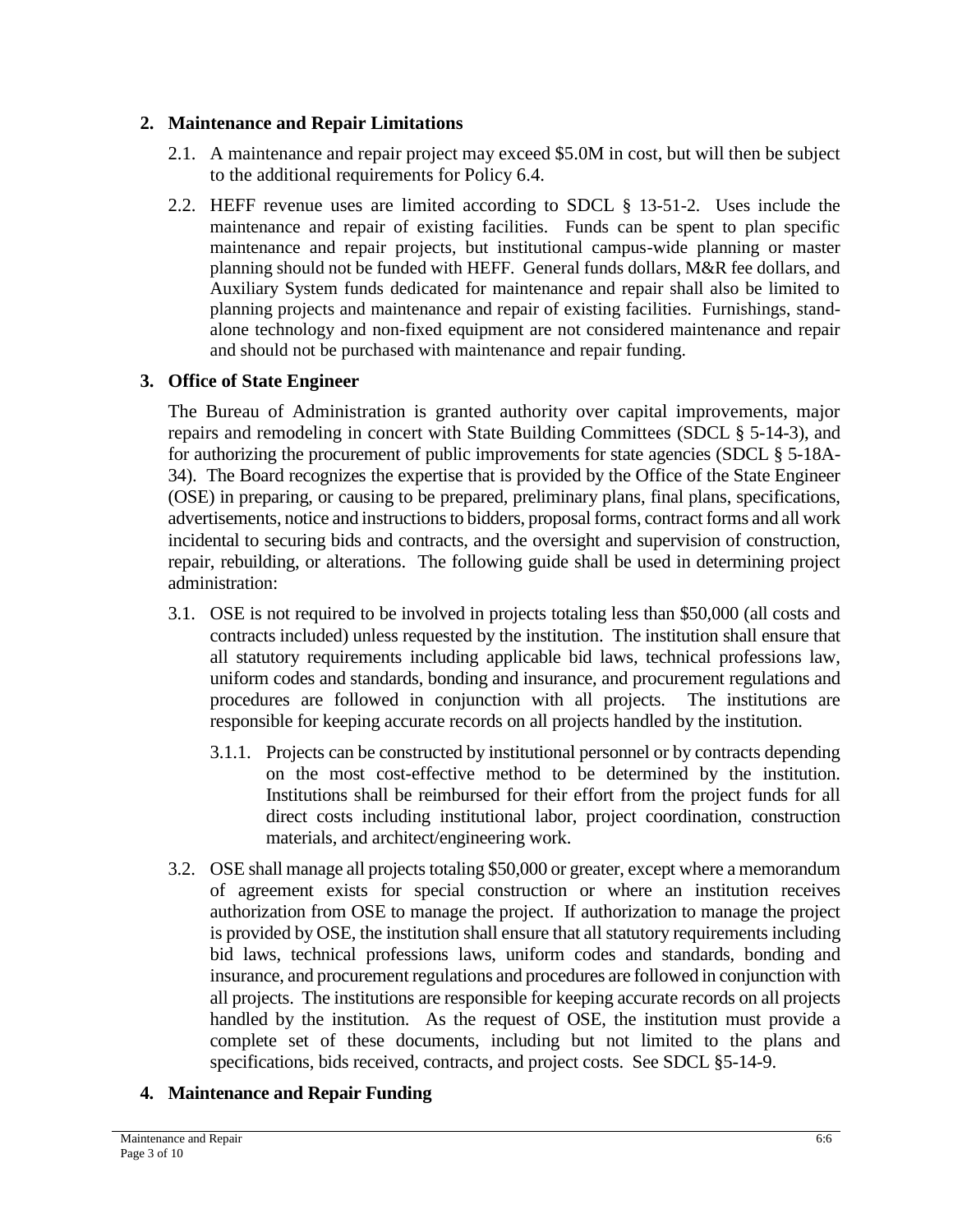#### **2. Maintenance and Repair Limitations**

- 2.1. A maintenance and repair project may exceed \$5.0M in cost, but will then be subject to the additional requirements for Policy 6.4.
- 2.2. HEFF revenue uses are limited according to SDCL § 13-51-2. Uses include the maintenance and repair of existing facilities. Funds can be spent to plan specific maintenance and repair projects, but institutional campus-wide planning or master planning should not be funded with HEFF. General funds dollars, M&R fee dollars, and Auxiliary System funds dedicated for maintenance and repair shall also be limited to planning projects and maintenance and repair of existing facilities. Furnishings, standalone technology and non-fixed equipment are not considered maintenance and repair and should not be purchased with maintenance and repair funding.

## **3. Office of State Engineer**

The Bureau of Administration is granted authority over capital improvements, major repairs and remodeling in concert with State Building Committees (SDCL § 5-14-3), and for authorizing the procurement of public improvements for state agencies (SDCL § 5-18A-34). The Board recognizes the expertise that is provided by the Office of the State Engineer (OSE) in preparing, or causing to be prepared, preliminary plans, final plans, specifications, advertisements, notice and instructions to bidders, proposal forms, contract forms and all work incidental to securing bids and contracts, and the oversight and supervision of construction, repair, rebuilding, or alterations. The following guide shall be used in determining project administration:

- 3.1. OSE is not required to be involved in projects totaling less than \$50,000 (all costs and contracts included) unless requested by the institution. The institution shall ensure that all statutory requirements including applicable bid laws, technical professions law, uniform codes and standards, bonding and insurance, and procurement regulations and procedures are followed in conjunction with all projects. The institutions are responsible for keeping accurate records on all projects handled by the institution.
	- 3.1.1. Projects can be constructed by institutional personnel or by contracts depending on the most cost-effective method to be determined by the institution. Institutions shall be reimbursed for their effort from the project funds for all direct costs including institutional labor, project coordination, construction materials, and architect/engineering work.
- 3.2. OSE shall manage all projects totaling \$50,000 or greater, except where a memorandum of agreement exists for special construction or where an institution receives authorization from OSE to manage the project. If authorization to manage the project is provided by OSE, the institution shall ensure that all statutory requirements including bid laws, technical professions laws, uniform codes and standards, bonding and insurance, and procurement regulations and procedures are followed in conjunction with all projects. The institutions are responsible for keeping accurate records on all projects handled by the institution. As the request of OSE, the institution must provide a complete set of these documents, including but not limited to the plans and specifications, bids received, contracts, and project costs. See SDCL §5-14-9.

## **4. Maintenance and Repair Funding**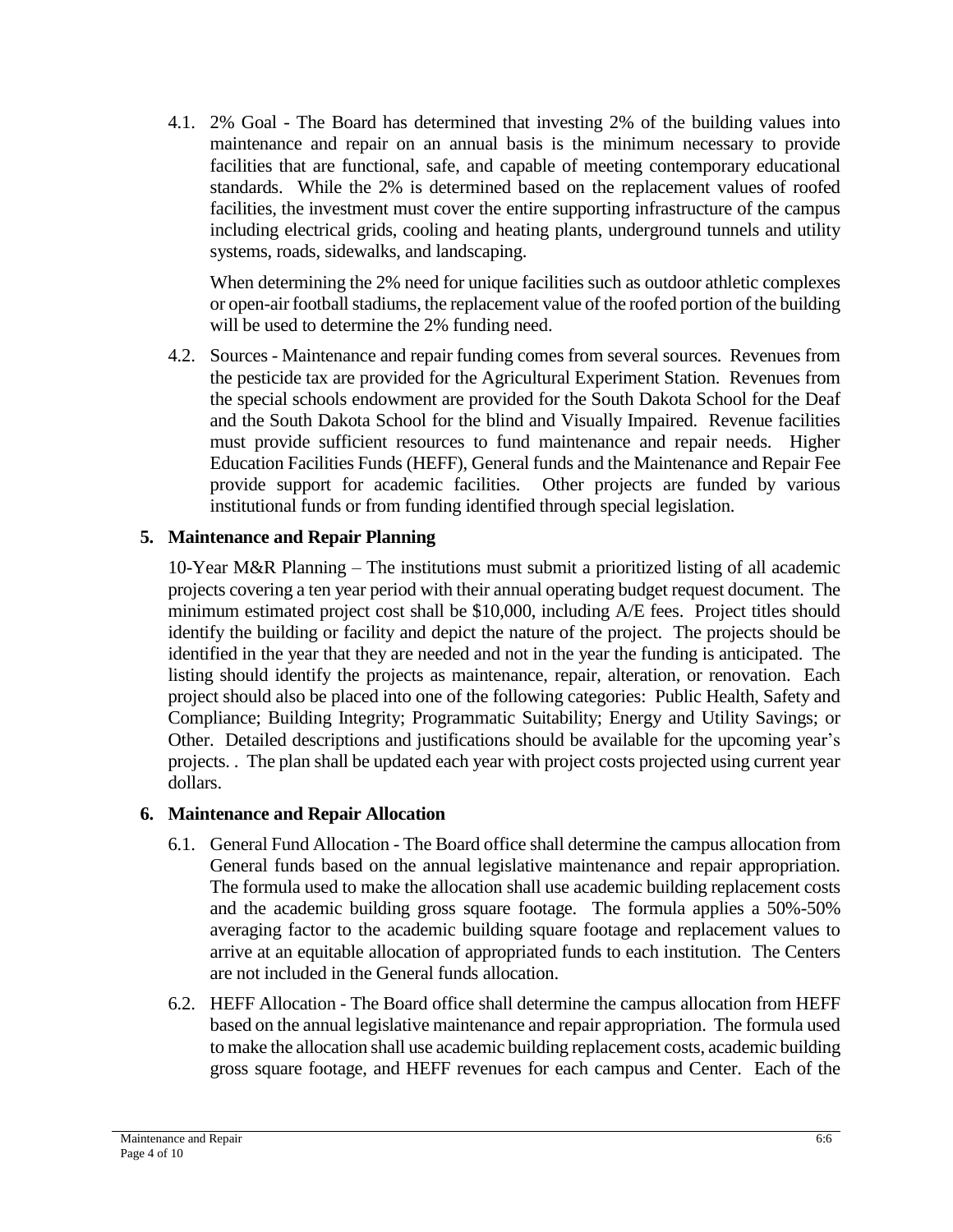4.1. 2% Goal - The Board has determined that investing 2% of the building values into maintenance and repair on an annual basis is the minimum necessary to provide facilities that are functional, safe, and capable of meeting contemporary educational standards. While the 2% is determined based on the replacement values of roofed facilities, the investment must cover the entire supporting infrastructure of the campus including electrical grids, cooling and heating plants, underground tunnels and utility systems, roads, sidewalks, and landscaping.

When determining the 2% need for unique facilities such as outdoor athletic complexes or open-air football stadiums, the replacement value of the roofed portion of the building will be used to determine the 2% funding need.

4.2. Sources - Maintenance and repair funding comes from several sources. Revenues from the pesticide tax are provided for the Agricultural Experiment Station. Revenues from the special schools endowment are provided for the South Dakota School for the Deaf and the South Dakota School for the blind and Visually Impaired. Revenue facilities must provide sufficient resources to fund maintenance and repair needs. Higher Education Facilities Funds (HEFF), General funds and the Maintenance and Repair Fee provide support for academic facilities. Other projects are funded by various institutional funds or from funding identified through special legislation.

#### **5. Maintenance and Repair Planning**

10-Year M&R Planning – The institutions must submit a prioritized listing of all academic projects covering a ten year period with their annual operating budget request document. The minimum estimated project cost shall be \$10,000, including A/E fees. Project titles should identify the building or facility and depict the nature of the project. The projects should be identified in the year that they are needed and not in the year the funding is anticipated. The listing should identify the projects as maintenance, repair, alteration, or renovation. Each project should also be placed into one of the following categories: Public Health, Safety and Compliance; Building Integrity; Programmatic Suitability; Energy and Utility Savings; or Other. Detailed descriptions and justifications should be available for the upcoming year's projects. . The plan shall be updated each year with project costs projected using current year dollars.

#### **6. Maintenance and Repair Allocation**

- 6.1. General Fund Allocation The Board office shall determine the campus allocation from General funds based on the annual legislative maintenance and repair appropriation. The formula used to make the allocation shall use academic building replacement costs and the academic building gross square footage. The formula applies a 50%-50% averaging factor to the academic building square footage and replacement values to arrive at an equitable allocation of appropriated funds to each institution. The Centers are not included in the General funds allocation.
- 6.2. HEFF Allocation The Board office shall determine the campus allocation from HEFF based on the annual legislative maintenance and repair appropriation. The formula used to make the allocation shall use academic building replacement costs, academic building gross square footage, and HEFF revenues for each campus and Center. Each of the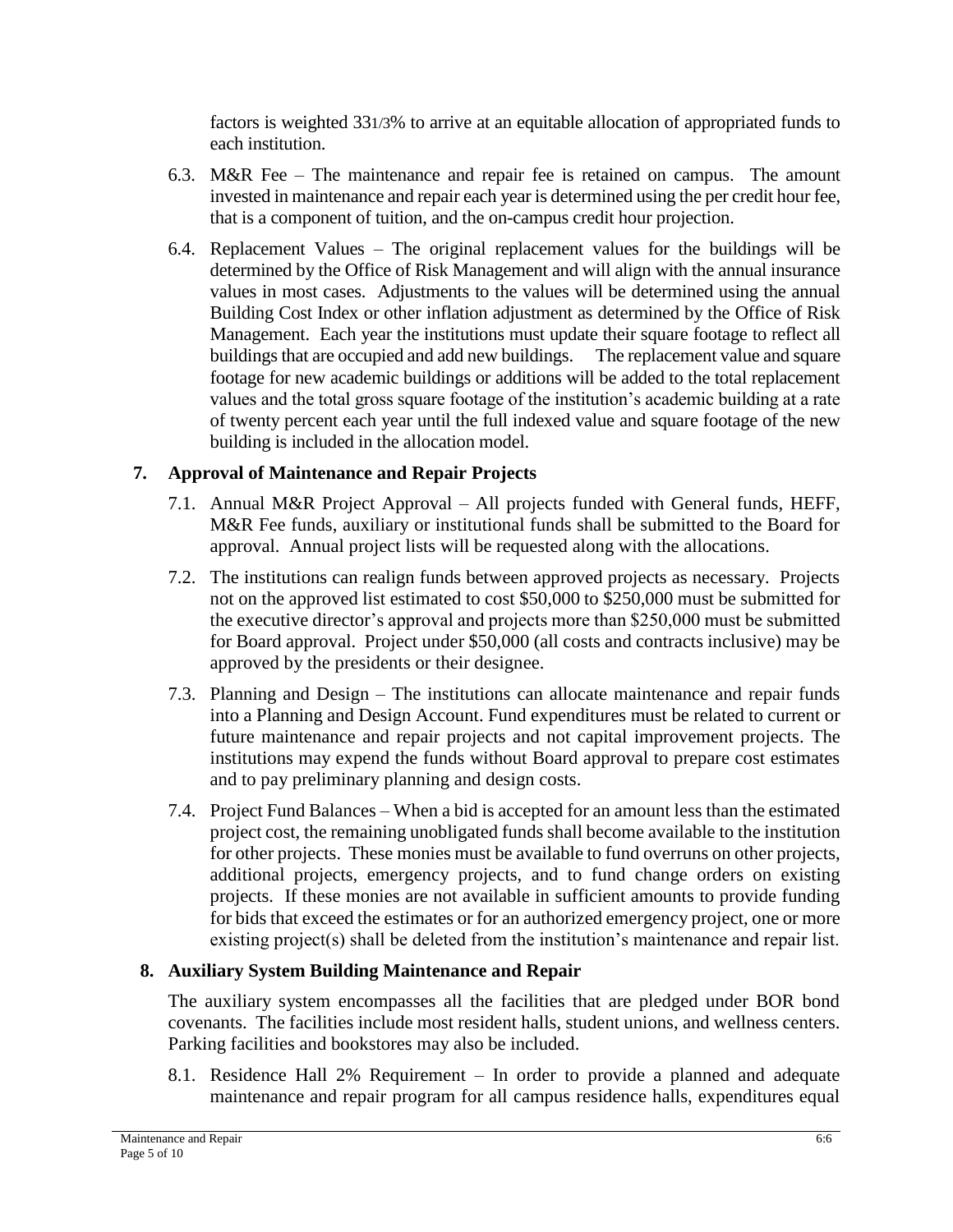factors is weighted 331/3% to arrive at an equitable allocation of appropriated funds to each institution.

- 6.3. M&R Fee The maintenance and repair fee is retained on campus. The amount invested in maintenance and repair each year is determined using the per credit hour fee, that is a component of tuition, and the on-campus credit hour projection.
- 6.4. Replacement Values The original replacement values for the buildings will be determined by the Office of Risk Management and will align with the annual insurance values in most cases. Adjustments to the values will be determined using the annual Building Cost Index or other inflation adjustment as determined by the Office of Risk Management. Each year the institutions must update their square footage to reflect all buildings that are occupied and add new buildings. The replacement value and square footage for new academic buildings or additions will be added to the total replacement values and the total gross square footage of the institution's academic building at a rate of twenty percent each year until the full indexed value and square footage of the new building is included in the allocation model.

# **7. Approval of Maintenance and Repair Projects**

- 7.1. Annual M&R Project Approval All projects funded with General funds, HEFF, M&R Fee funds, auxiliary or institutional funds shall be submitted to the Board for approval. Annual project lists will be requested along with the allocations.
- 7.2. The institutions can realign funds between approved projects as necessary. Projects not on the approved list estimated to cost \$50,000 to \$250,000 must be submitted for the executive director's approval and projects more than \$250,000 must be submitted for Board approval. Project under \$50,000 (all costs and contracts inclusive) may be approved by the presidents or their designee.
- 7.3. Planning and Design The institutions can allocate maintenance and repair funds into a Planning and Design Account. Fund expenditures must be related to current or future maintenance and repair projects and not capital improvement projects. The institutions may expend the funds without Board approval to prepare cost estimates and to pay preliminary planning and design costs.
- 7.4. Project Fund Balances When a bid is accepted for an amount less than the estimated project cost, the remaining unobligated funds shall become available to the institution for other projects. These monies must be available to fund overruns on other projects, additional projects, emergency projects, and to fund change orders on existing projects. If these monies are not available in sufficient amounts to provide funding for bids that exceed the estimates or for an authorized emergency project, one or more existing project(s) shall be deleted from the institution's maintenance and repair list.

# **8. Auxiliary System Building Maintenance and Repair**

The auxiliary system encompasses all the facilities that are pledged under BOR bond covenants. The facilities include most resident halls, student unions, and wellness centers. Parking facilities and bookstores may also be included.

8.1. Residence Hall 2% Requirement – In order to provide a planned and adequate maintenance and repair program for all campus residence halls, expenditures equal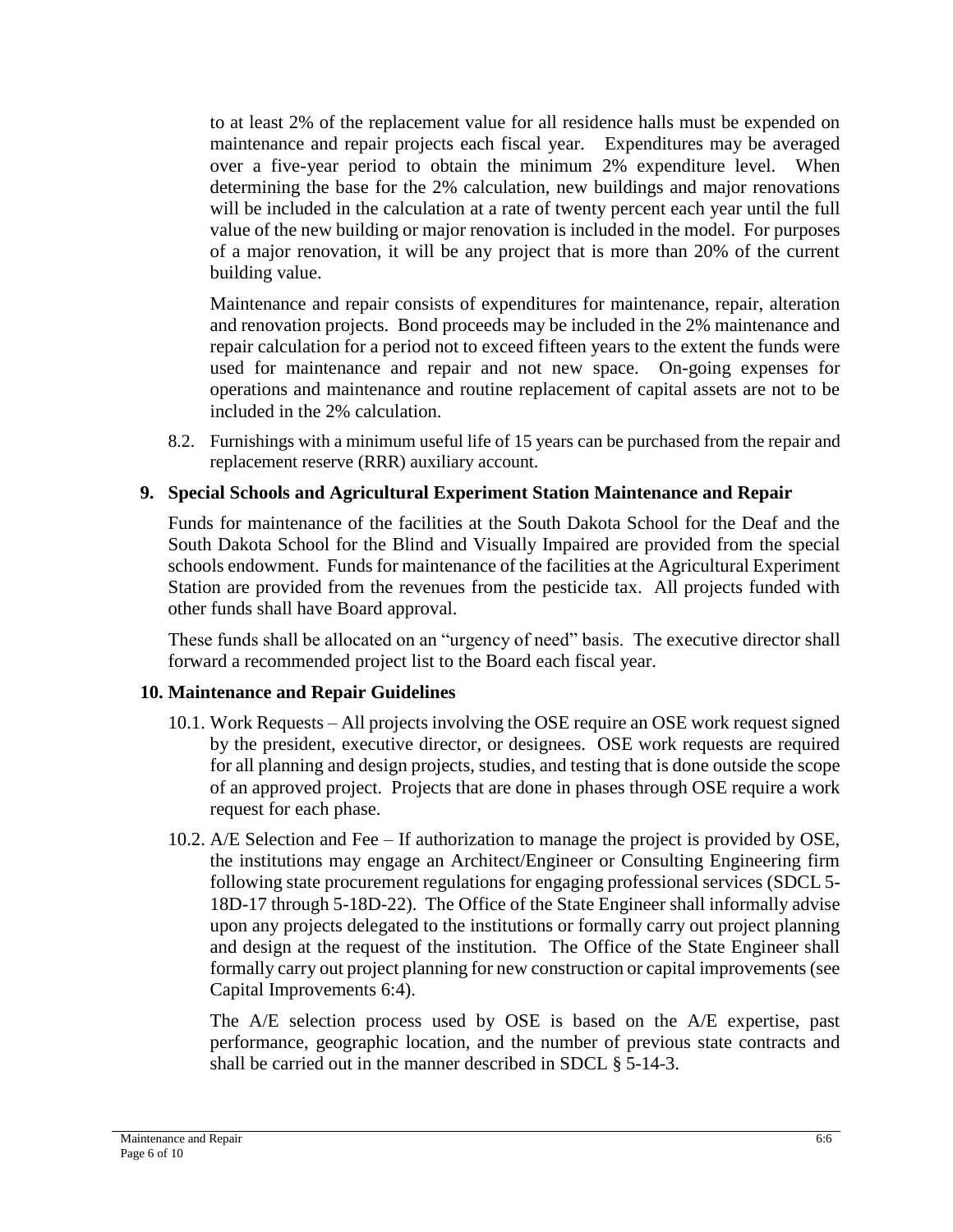to at least 2% of the replacement value for all residence halls must be expended on maintenance and repair projects each fiscal year. Expenditures may be averaged over a five-year period to obtain the minimum 2% expenditure level. When determining the base for the 2% calculation, new buildings and major renovations will be included in the calculation at a rate of twenty percent each year until the full value of the new building or major renovation is included in the model. For purposes of a major renovation, it will be any project that is more than 20% of the current building value.

Maintenance and repair consists of expenditures for maintenance, repair, alteration and renovation projects. Bond proceeds may be included in the 2% maintenance and repair calculation for a period not to exceed fifteen years to the extent the funds were used for maintenance and repair and not new space. On-going expenses for operations and maintenance and routine replacement of capital assets are not to be included in the 2% calculation.

8.2. Furnishings with a minimum useful life of 15 years can be purchased from the repair and replacement reserve (RRR) auxiliary account.

## **9. Special Schools and Agricultural Experiment Station Maintenance and Repair**

Funds for maintenance of the facilities at the South Dakota School for the Deaf and the South Dakota School for the Blind and Visually Impaired are provided from the special schools endowment. Funds for maintenance of the facilities at the Agricultural Experiment Station are provided from the revenues from the pesticide tax. All projects funded with other funds shall have Board approval.

These funds shall be allocated on an "urgency of need" basis. The executive director shall forward a recommended project list to the Board each fiscal year.

## **10. Maintenance and Repair Guidelines**

- 10.1. Work Requests All projects involving the OSE require an OSE work request signed by the president, executive director, or designees. OSE work requests are required for all planning and design projects, studies, and testing that is done outside the scope of an approved project. Projects that are done in phases through OSE require a work request for each phase.
- 10.2. A/E Selection and Fee If authorization to manage the project is provided by OSE, the institutions may engage an Architect/Engineer or Consulting Engineering firm following state procurement regulations for engaging professional services (SDCL 5- 18D-17 through 5-18D-22). The Office of the State Engineer shall informally advise upon any projects delegated to the institutions or formally carry out project planning and design at the request of the institution. The Office of the State Engineer shall formally carry out project planning for new construction or capital improvements (see Capital Improvements 6:4).

The A/E selection process used by OSE is based on the A/E expertise, past performance, geographic location, and the number of previous state contracts and shall be carried out in the manner described in SDCL § 5-14-3.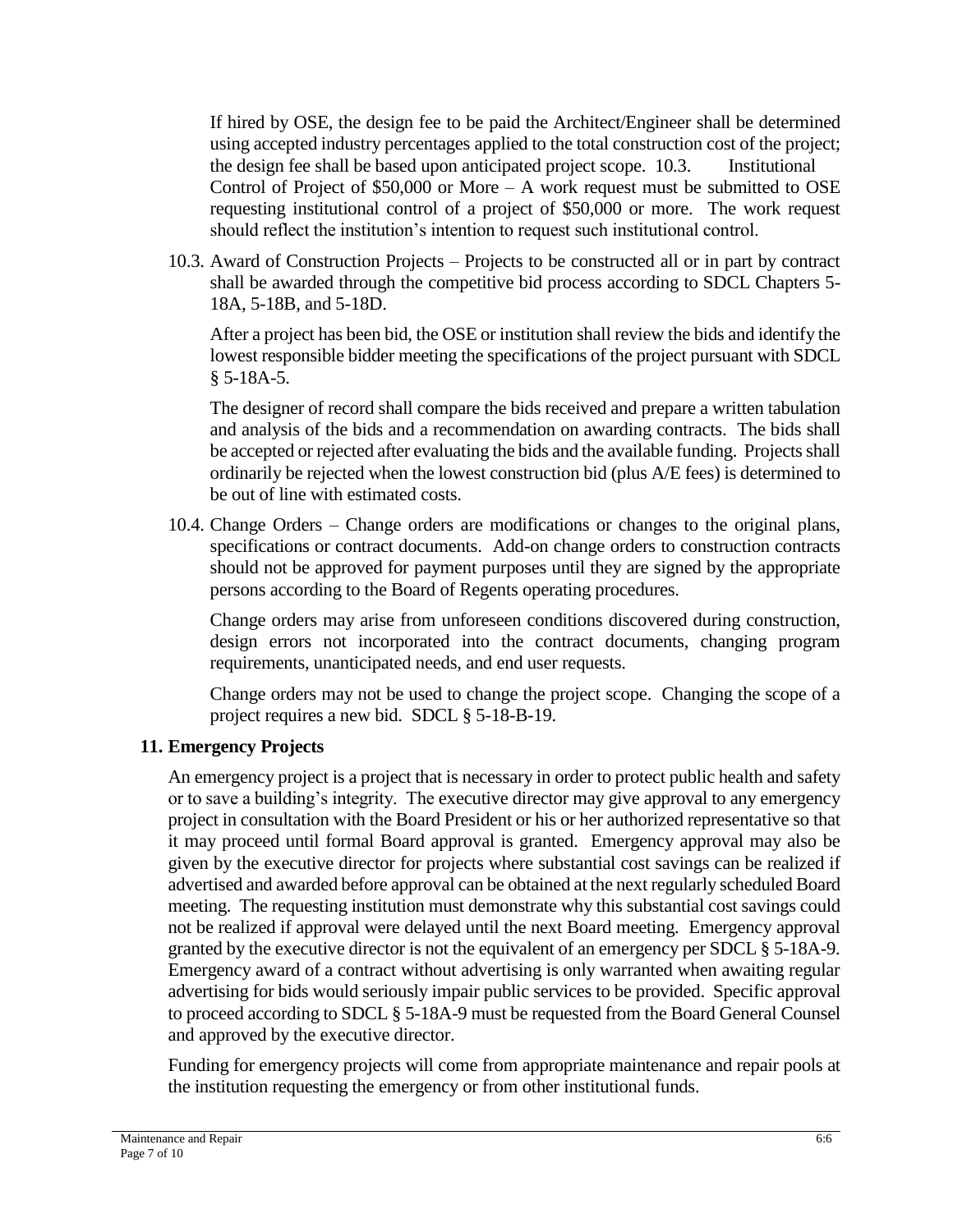If hired by OSE, the design fee to be paid the Architect/Engineer shall be determined using accepted industry percentages applied to the total construction cost of the project; the design fee shall be based upon anticipated project scope. 10.3. Institutional Control of Project of \$50,000 or More – A work request must be submitted to OSE requesting institutional control of a project of \$50,000 or more. The work request should reflect the institution's intention to request such institutional control.

10.3. Award of Construction Projects – Projects to be constructed all or in part by contract shall be awarded through the competitive bid process according to SDCL Chapters 5- 18A, 5-18B, and 5-18D.

After a project has been bid, the OSE or institution shall review the bids and identify the lowest responsible bidder meeting the specifications of the project pursuant with SDCL § 5-18A-5.

The designer of record shall compare the bids received and prepare a written tabulation and analysis of the bids and a recommendation on awarding contracts. The bids shall be accepted or rejected after evaluating the bids and the available funding. Projects shall ordinarily be rejected when the lowest construction bid (plus A/E fees) is determined to be out of line with estimated costs.

10.4. Change Orders – Change orders are modifications or changes to the original plans, specifications or contract documents. Add-on change orders to construction contracts should not be approved for payment purposes until they are signed by the appropriate persons according to the Board of Regents operating procedures.

Change orders may arise from unforeseen conditions discovered during construction, design errors not incorporated into the contract documents, changing program requirements, unanticipated needs, and end user requests.

Change orders may not be used to change the project scope. Changing the scope of a project requires a new bid. SDCL § 5-18-B-19.

## **11. Emergency Projects**

An emergency project is a project that is necessary in order to protect public health and safety or to save a building's integrity. The executive director may give approval to any emergency project in consultation with the Board President or his or her authorized representative so that it may proceed until formal Board approval is granted. Emergency approval may also be given by the executive director for projects where substantial cost savings can be realized if advertised and awarded before approval can be obtained at the next regularly scheduled Board meeting. The requesting institution must demonstrate why this substantial cost savings could not be realized if approval were delayed until the next Board meeting. Emergency approval granted by the executive director is not the equivalent of an emergency per SDCL § 5-18A-9. Emergency award of a contract without advertising is only warranted when awaiting regular advertising for bids would seriously impair public services to be provided. Specific approval to proceed according to SDCL § 5-18A-9 must be requested from the Board General Counsel and approved by the executive director.

Funding for emergency projects will come from appropriate maintenance and repair pools at the institution requesting the emergency or from other institutional funds.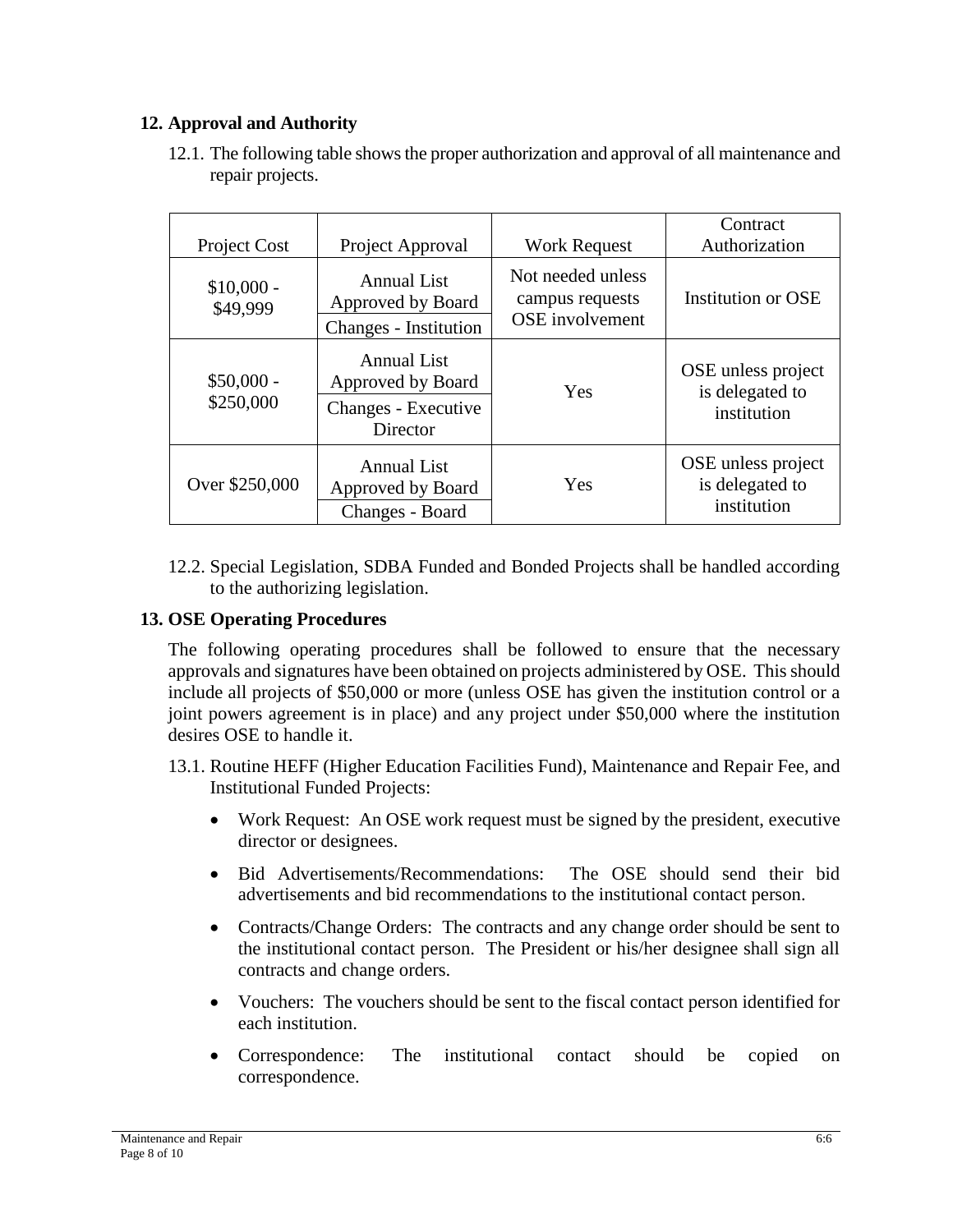## **12. Approval and Authority**

12.1. The following table shows the proper authorization and approval of all maintenance and repair projects.

| Project Cost             | Project Approval                                                 | <b>Work Request</b>                                            | Contract<br>Authorization                            |
|--------------------------|------------------------------------------------------------------|----------------------------------------------------------------|------------------------------------------------------|
| $$10,000 -$<br>\$49,999  | <b>Annual List</b><br>Approved by Board<br>Changes - Institution | Not needed unless<br>campus requests<br><b>OSE</b> involvement | <b>Institution or OSE</b>                            |
| $$50,000 -$<br>\$250,000 | <b>Annual List</b><br>Approved by Board<br>Changes - Executive   | Yes                                                            | OSE unless project<br>is delegated to                |
|                          | Director                                                         |                                                                | institution                                          |
| Over \$250,000           | <b>Annual List</b><br>Approved by Board<br>Changes - Board       | <b>Yes</b>                                                     | OSE unless project<br>is delegated to<br>institution |

12.2. Special Legislation, SDBA Funded and Bonded Projects shall be handled according to the authorizing legislation.

# **13. OSE Operating Procedures**

The following operating procedures shall be followed to ensure that the necessary approvals and signatures have been obtained on projects administered by OSE. This should include all projects of \$50,000 or more (unless OSE has given the institution control or a joint powers agreement is in place) and any project under \$50,000 where the institution desires OSE to handle it.

- 13.1. Routine HEFF (Higher Education Facilities Fund), Maintenance and Repair Fee, and Institutional Funded Projects:
	- Work Request: An OSE work request must be signed by the president, executive director or designees.
	- Bid Advertisements/Recommendations: The OSE should send their bid advertisements and bid recommendations to the institutional contact person.
	- Contracts/Change Orders: The contracts and any change order should be sent to the institutional contact person. The President or his/her designee shall sign all contracts and change orders.
	- Vouchers: The vouchers should be sent to the fiscal contact person identified for each institution.
	- Correspondence: The institutional contact should be copied on correspondence.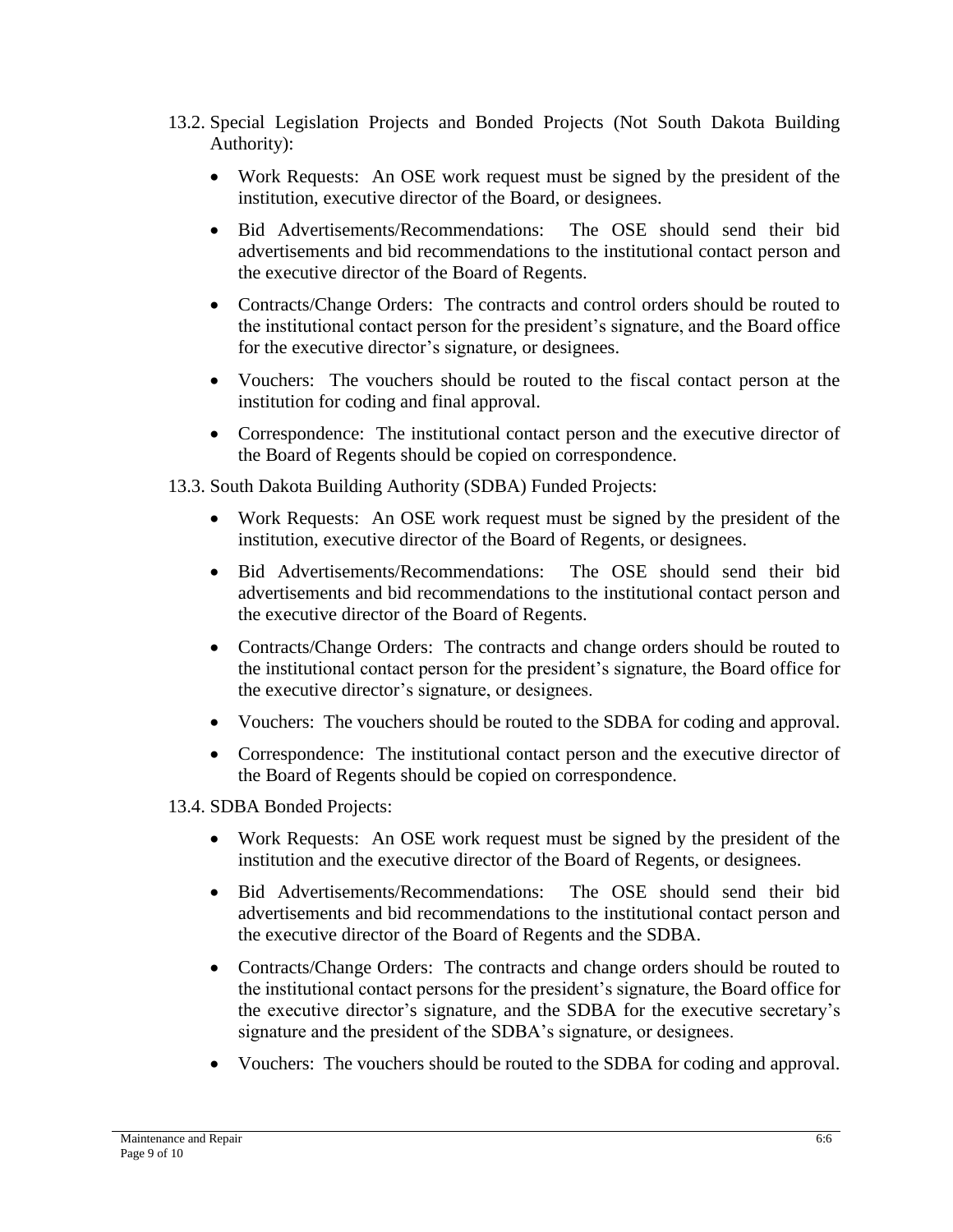- 13.2. Special Legislation Projects and Bonded Projects (Not South Dakota Building Authority):
	- Work Requests: An OSE work request must be signed by the president of the institution, executive director of the Board, or designees.
	- Bid Advertisements/Recommendations: The OSE should send their bid advertisements and bid recommendations to the institutional contact person and the executive director of the Board of Regents.
	- Contracts/Change Orders: The contracts and control orders should be routed to the institutional contact person for the president's signature, and the Board office for the executive director's signature, or designees.
	- Vouchers: The vouchers should be routed to the fiscal contact person at the institution for coding and final approval.
	- Correspondence: The institutional contact person and the executive director of the Board of Regents should be copied on correspondence.
- 13.3. South Dakota Building Authority (SDBA) Funded Projects:
	- Work Requests: An OSE work request must be signed by the president of the institution, executive director of the Board of Regents, or designees.
	- Bid Advertisements/Recommendations: The OSE should send their bid advertisements and bid recommendations to the institutional contact person and the executive director of the Board of Regents.
	- Contracts/Change Orders: The contracts and change orders should be routed to the institutional contact person for the president's signature, the Board office for the executive director's signature, or designees.
	- Vouchers: The vouchers should be routed to the SDBA for coding and approval.
	- Correspondence: The institutional contact person and the executive director of the Board of Regents should be copied on correspondence.
- 13.4. SDBA Bonded Projects:
	- Work Requests: An OSE work request must be signed by the president of the institution and the executive director of the Board of Regents, or designees.
	- Bid Advertisements/Recommendations: The OSE should send their bid advertisements and bid recommendations to the institutional contact person and the executive director of the Board of Regents and the SDBA.
	- Contracts/Change Orders: The contracts and change orders should be routed to the institutional contact persons for the president's signature, the Board office for the executive director's signature, and the SDBA for the executive secretary's signature and the president of the SDBA's signature, or designees.
	- Vouchers: The vouchers should be routed to the SDBA for coding and approval.